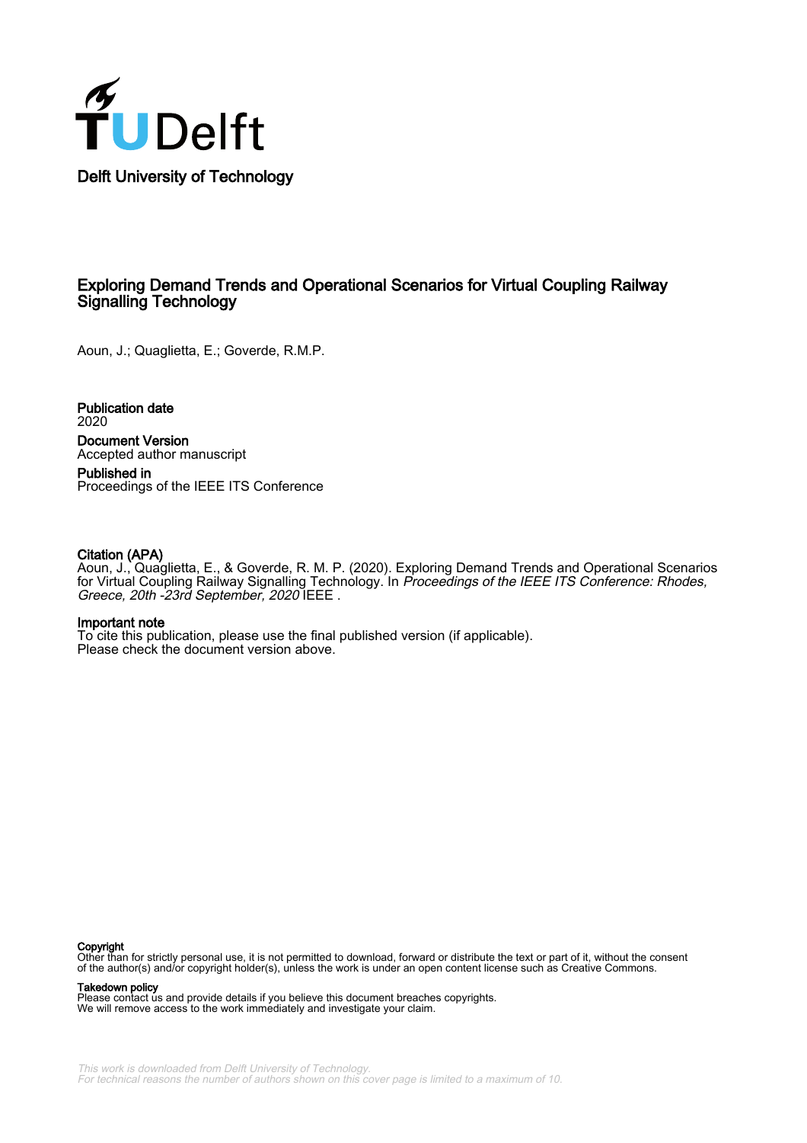

# Exploring Demand Trends and Operational Scenarios for Virtual Coupling Railway Signalling Technology

Aoun, J.; Quaglietta, E.; Goverde, R.M.P.

Publication date 2020

Document Version Accepted author manuscript

Published in Proceedings of the IEEE ITS Conference

# Citation (APA)

Aoun, J., Quaglietta, E., & Goverde, R. M. P. (2020). Exploring Demand Trends and Operational Scenarios for Virtual Coupling Railway Signalling Technology. In *Proceedings of the IEEE ITS Conference: Rhodes,* Greece, 20th -23rd September, 2020 IEEE .

# Important note

To cite this publication, please use the final published version (if applicable). Please check the document version above.

#### Copyright

Other than for strictly personal use, it is not permitted to download, forward or distribute the text or part of it, without the consent of the author(s) and/or copyright holder(s), unless the work is under an open content license such as Creative Commons.

#### Takedown policy

Please contact us and provide details if you believe this document breaches copyrights. We will remove access to the work immediately and investigate your claim.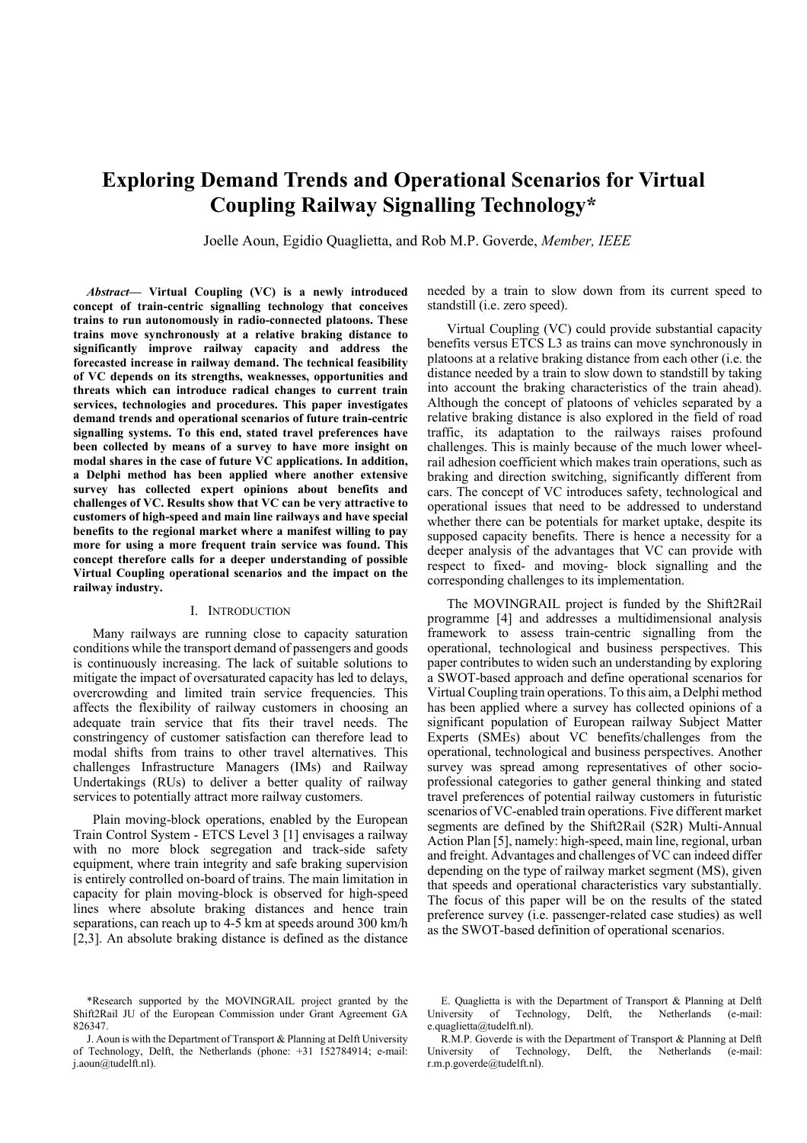# **Exploring Demand Trends and Operational Scenarios for Virtual Coupling Railway Signalling Technology\***

Joelle Aoun, Egidio Quaglietta, and Rob M.P. Goverde, *Member, IEEE*

*Abstract***— Virtual Coupling (VC) is a newly introduced concept of train-centric signalling technology that conceives trains to run autonomously in radio-connected platoons. These trains move synchronously at a relative braking distance to significantly improve railway capacity and address the forecasted increase in railway demand. The technical feasibility of VC depends on its strengths, weaknesses, opportunities and threats which can introduce radical changes to current train services, technologies and procedures. This paper investigates demand trends and operational scenarios of future train-centric signalling systems. To this end, stated travel preferences have been collected by means of a survey to have more insight on modal shares in the case of future VC applications. In addition, a Delphi method has been applied where another extensive survey has collected expert opinions about benefits and challenges of VC. Results show that VC can be very attractive to customers of high-speed and main line railways and have special benefits to the regional market where a manifest willing to pay more for using a more frequent train service was found. This concept therefore calls for a deeper understanding of possible Virtual Coupling operational scenarios and the impact on the railway industry.**

#### I. INTRODUCTION

Many railways are running close to capacity saturation conditions while the transport demand of passengers and goods is continuously increasing. The lack of suitable solutions to mitigate the impact of oversaturated capacity has led to delays, overcrowding and limited train service frequencies. This affects the flexibility of railway customers in choosing an adequate train service that fits their travel needs. The constringency of customer satisfaction can therefore lead to modal shifts from trains to other travel alternatives. This challenges Infrastructure Managers (IMs) and Railway Undertakings (RUs) to deliver a better quality of railway services to potentially attract more railway customers.

Plain moving-block operations, enabled by the European Train Control System - ETCS Level 3 [\[1\]](#page-6-0) envisages a railway with no more block segregation and track-side safety equipment, where train integrity and safe braking supervision is entirely controlled on-board of trains. The main limitation in capacity for plain moving-block is observed for high-speed lines where absolute braking distances and hence train separations, can reach up to 4-5 km at speeds around 300 km/h [\[2](#page-6-1)[,3\].](#page-6-2) An absolute braking distance is defined as the distance

needed by a train to slow down from its current speed to standstill (i.e. zero speed).

Virtual Coupling (VC) could provide substantial capacity benefits versus ETCS L3 as trains can move synchronously in platoons at a relative braking distance from each other (i.e. the distance needed by a train to slow down to standstill by taking into account the braking characteristics of the train ahead). Although the concept of platoons of vehicles separated by a relative braking distance is also explored in the field of road traffic, its adaptation to the railways raises profound challenges. This is mainly because of the much lower wheelrail adhesion coefficient which makes train operations, such as braking and direction switching, significantly different from cars. The concept of VC introduces safety, technological and operational issues that need to be addressed to understand whether there can be potentials for market uptake, despite its supposed capacity benefits. There is hence a necessity for a deeper analysis of the advantages that VC can provide with respect to fixed- and moving- block signalling and the corresponding challenges to its implementation.

The MOVINGRAIL project is funded by the Shift2Rail programme [\[4\]](#page-6-3) and addresses a multidimensional analysis framework to assess train-centric signalling from the operational, technological and business perspectives. This paper contributes to widen such an understanding by exploring a SWOT-based approach and define operational scenarios for Virtual Coupling train operations. To this aim, a Delphi method has been applied where a survey has collected opinions of a significant population of European railway Subject Matter Experts (SMEs) about VC benefits/challenges from the operational, technological and business perspectives. Another survey was spread among representatives of other socioprofessional categories to gather general thinking and stated travel preferences of potential railway customers in futuristic scenarios of VC-enabled train operations. Five different market segments are defined by the Shift2Rail (S2R) Multi-Annual Action Pla[n \[5\],](#page-6-4) namely: high-speed, main line, regional, urban and freight. Advantages and challenges of VC can indeed differ depending on the type of railway market segment (MS), given that speeds and operational characteristics vary substantially. The focus of this paper will be on the results of the stated preference survey (i.e. passenger-related case studies) as well as the SWOT-based definition of operational scenarios.

E. Quaglietta is with the Department of Transport & Planning at Delft University of Technology, Delft, the Netherlands (e-mail: e.quaglietta@tudelft.nl).

<sup>\*</sup>Research supported by the MOVINGRAIL project granted by the Shift2Rail JU of the European Commission under Grant Agreement GA 826347.

J. Aoun is with the Department of Transport & Planning at Delft University of Technology, Delft, the Netherlands (phone: +31 152784914; e-mail: j.aoun@tudelft.nl).

R.M.P. Goverde is with the Department of Transport & Planning at Delft University of Technology, Delft, the Netherlands (e-mail: r.m.p.goverde@tudelft.nl).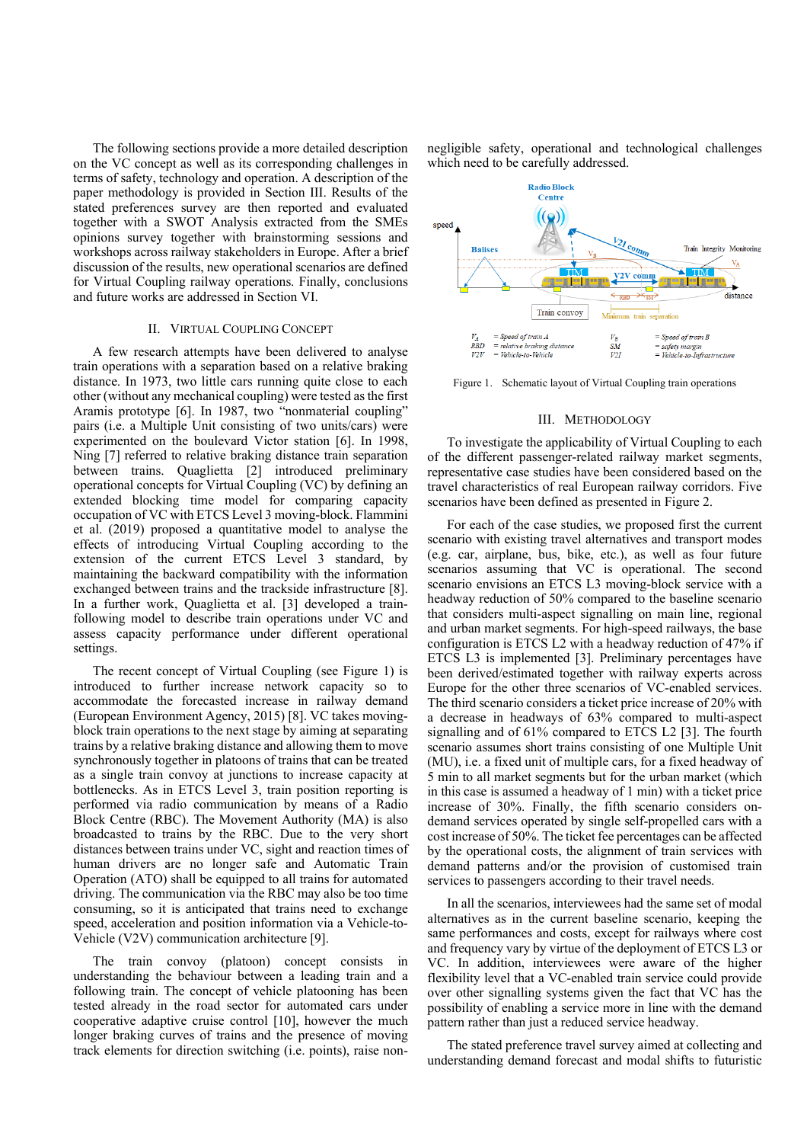The following sections provide a more detailed description on the VC concept as well as its corresponding challenges in terms of safety, technology and operation. A description of the paper methodology is provided in Section [III.](#page-2-0) Results of the stated preferences survey are then reported and evaluated together with a SWOT Analysis extracted from the SMEs opinions survey together with brainstorming sessions and workshops across railway stakeholders in Europe. After a brief discussion of the results, new operational scenarios are defined for Virtual Coupling railway operations. Finally, conclusions and future works are addressed in Sectio[n VI.](#page-6-5)

# II. VIRTUAL COUPLING CONCEPT

A few research attempts have been delivered to analyse train operations with a separation based on a relative braking distance. In 1973, two little cars running quite close to each other (without any mechanical coupling) were tested as the first Aramis prototype [\[6\].](#page-6-6) In 1987, two "nonmaterial coupling" pairs (i.e. a Multiple Unit consisting of two units/cars) were experimented on the boulevard Victor station [\[6\].](#page-6-6) In 1998, Ning [\[7\]](#page-6-7) referred to relative braking distance train separation between trains. Quaglietta [\[2\]](#page-6-1) introduced preliminary operational concepts for Virtual Coupling (VC) by defining an extended blocking time model for comparing capacity occupation of VC with ETCS Level 3 moving-block. Flammini et al. (2019) proposed a quantitative model to analyse the effects of introducing Virtual Coupling according to the extension of the current ETCS Level 3 standard, by maintaining the backward compatibility with the information exchanged between trains and the trackside infrastructure [\[8\].](#page-6-8) In a further work, Quaglietta et al. [\[3\]](#page-6-2) developed a trainfollowing model to describe train operations under VC and assess capacity performance under different operational settings.

The recent concept of Virtual Coupling (see [Figure 1\)](#page-2-1) is introduced to further increase network capacity so to accommodate the forecasted increase in railway demand (European Environment Agency, 2015) [\[8\].](#page-6-9) VC takes movingblock train operations to the next stage by aiming at separating trains by a relative braking distance and allowing them to move synchronously together in platoons of trains that can be treated as a single train convoy at junctions to increase capacity at bottlenecks. As in ETCS Level 3, train position reporting is performed via radio communication by means of a Radio Block Centre (RBC). The Movement Authority (MA) is also broadcasted to trains by the RBC. Due to the very short distances between trains under VC, sight and reaction times of human drivers are no longer safe and Automatic Train Operation (ATO) shall be equipped to all trains for automated driving. The communication via the RBC may also be too time consuming, so it is anticipated that trains need to exchange speed, acceleration and position information via a Vehicle-to-Vehicle (V2V) communication architectur[e \[9\].](#page-6-10)

The train convoy (platoon) concept consists in understanding the behaviour between a leading train and a following train. The concept of vehicle platooning has been tested already in the road sector for automated cars under cooperative adaptive cruise control [\[10\],](#page-6-11) however the much longer braking curves of trains and the presence of moving track elements for direction switching (i.e. points), raise nonnegligible safety, operational and technological challenges which need to be carefully addressed.



<span id="page-2-1"></span>Figure 1. Schematic layout of Virtual Coupling train operations

### III. METHODOLOGY

<span id="page-2-0"></span>To investigate the applicability of Virtual Coupling to each of the different passenger-related railway market segments, representative case studies have been considered based on the travel characteristics of real European railway corridors. Five scenarios have been defined as presented i[n Figure 2.](#page-3-0) 

For each of the case studies, we proposed first the current scenario with existing travel alternatives and transport modes (e.g. car, airplane, bus, bike, etc.), as well as four future scenarios assuming that VC is operational. The second scenario envisions an ETCS L3 moving-block service with a headway reduction of 50% compared to the baseline scenario that considers multi-aspect signalling on main line, regional and urban market segments. For high-speed railways, the base configuration is ETCS L2 with a headway reduction of 47% if ETCS L3 is implemented [\[3\].](#page-6-2) Preliminary percentages have been derived/estimated together with railway experts across Europe for the other three scenarios of VC-enabled services. The third scenario considers a ticket price increase of 20% with a decrease in headways of 63% compared to multi-aspect signalling and of 61% compared to ETCS L2 [\[3\].](#page-6-2) The fourth scenario assumes short trains consisting of one Multiple Unit (MU), i.e. a fixed unit of multiple cars, for a fixed headway of 5 min to all market segments but for the urban market (which in this case is assumed a headway of 1 min) with a ticket price increase of 30%. Finally, the fifth scenario considers ondemand services operated by single self-propelled cars with a cost increase of 50%. The ticket fee percentages can be affected by the operational costs, the alignment of train services with demand patterns and/or the provision of customised train services to passengers according to their travel needs.

In all the scenarios, interviewees had the same set of modal alternatives as in the current baseline scenario, keeping the same performances and costs, except for railways where cost and frequency vary by virtue of the deployment of ETCS L3 or VC. In addition, interviewees were aware of the higher flexibility level that a VC-enabled train service could provide over other signalling systems given the fact that VC has the possibility of enabling a service more in line with the demand pattern rather than just a reduced service headway.

The stated preference travel survey aimed at collecting and understanding demand forecast and modal shifts to futuristic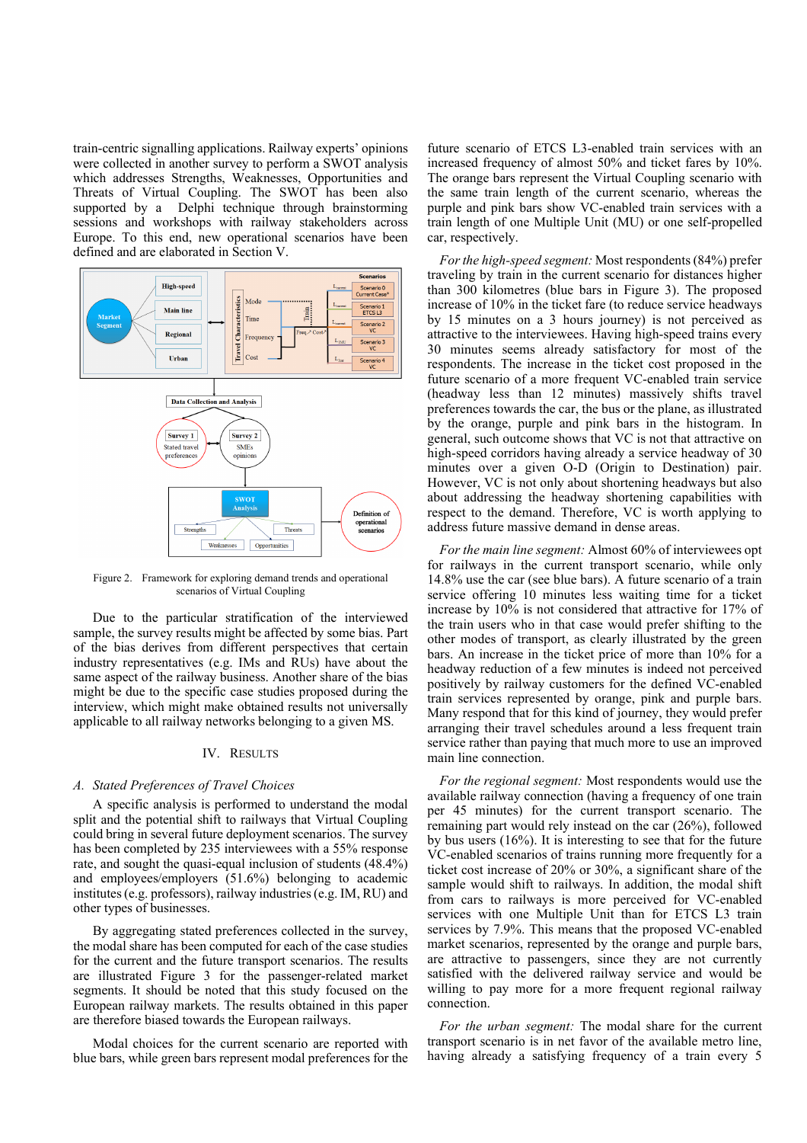train-centric signalling applications. Railway experts' opinions were collected in another survey to perform a SWOT analysis which addresses Strengths, Weaknesses, Opportunities and Threats of Virtual Coupling. The SWOT has been also supported by a Delphi technique through brainstorming sessions and workshops with railway stakeholders across Europe. To this end, new operational scenarios have been defined and are elaborated in Section [V.](#page-4-0)



<span id="page-3-0"></span>Figure 2. Framework for exploring demand trends and operational scenarios of Virtual Coupling

Due to the particular stratification of the interviewed sample, the survey results might be affected by some bias. Part of the bias derives from different perspectives that certain industry representatives (e.g. IMs and RUs) have about the same aspect of the railway business. Another share of the bias might be due to the specific case studies proposed during the interview, which might make obtained results not universally applicable to all railway networks belonging to a given MS.

# IV. RESULTS

## <span id="page-3-1"></span>*A. Stated Preferences of Travel Choices*

A specific analysis is performed to understand the modal split and the potential shift to railways that Virtual Coupling could bring in several future deployment scenarios. The survey has been completed by 235 interviewees with a 55% response rate, and sought the quasi-equal inclusion of students (48.4%) and employees/employers (51.6%) belonging to academic institutes (e.g. professors), railway industries (e.g. IM, RU) and other types of businesses.

By aggregating stated preferences collected in the survey, the modal share has been computed for each of the case studies for the current and the future transport scenarios. The results are illustrated [Figure 3](#page-4-1) for the passenger-related market segments. It should be noted that this study focused on the European railway markets. The results obtained in this paper are therefore biased towards the European railways.

Modal choices for the current scenario are reported with blue bars, while green bars represent modal preferences for the

future scenario of ETCS L3-enabled train services with an increased frequency of almost 50% and ticket fares by 10%. The orange bars represent the Virtual Coupling scenario with the same train length of the current scenario, whereas the purple and pink bars show VC-enabled train services with a train length of one Multiple Unit (MU) or one self-propelled car, respectively.

*For the high-speed segment:* Most respondents (84%) prefer traveling by train in the current scenario for distances higher than 300 kilometres (blue bars in [Figure 3\)](#page-4-1). The proposed increase of 10% in the ticket fare (to reduce service headways by 15 minutes on a 3 hours journey) is not perceived as attractive to the interviewees. Having high-speed trains every 30 minutes seems already satisfactory for most of the respondents. The increase in the ticket cost proposed in the future scenario of a more frequent VC-enabled train service (headway less than 12 minutes) massively shifts travel preferences towards the car, the bus or the plane, as illustrated by the orange, purple and pink bars in the histogram. In general, such outcome shows that VC is not that attractive on high-speed corridors having already a service headway of 30 minutes over a given O-D (Origin to Destination) pair. However, VC is not only about shortening headways but also about addressing the headway shortening capabilities with respect to the demand. Therefore, VC is worth applying to address future massive demand in dense areas.

*For the main line segment:* Almost 60% of interviewees opt for railways in the current transport scenario, while only 14.8% use the car (see blue bars). A future scenario of a train service offering 10 minutes less waiting time for a ticket increase by 10% is not considered that attractive for 17% of the train users who in that case would prefer shifting to the other modes of transport, as clearly illustrated by the green bars. An increase in the ticket price of more than 10% for a headway reduction of a few minutes is indeed not perceived positively by railway customers for the defined VC-enabled train services represented by orange, pink and purple bars. Many respond that for this kind of journey, they would prefer arranging their travel schedules around a less frequent train service rather than paying that much more to use an improved main line connection.

*For the regional segment:* Most respondents would use the available railway connection (having a frequency of one train per 45 minutes) for the current transport scenario. The remaining part would rely instead on the car (26%), followed by bus users (16%). It is interesting to see that for the future VC-enabled scenarios of trains running more frequently for a ticket cost increase of 20% or 30%, a significant share of the sample would shift to railways. In addition, the modal shift from cars to railways is more perceived for VC-enabled services with one Multiple Unit than for ETCS L3 train services by 7.9%. This means that the proposed VC-enabled market scenarios, represented by the orange and purple bars, are attractive to passengers, since they are not currently satisfied with the delivered railway service and would be willing to pay more for a more frequent regional railway connection.

*For the urban segment:* The modal share for the current transport scenario is in net favor of the available metro line, having already a satisfying frequency of a train every 5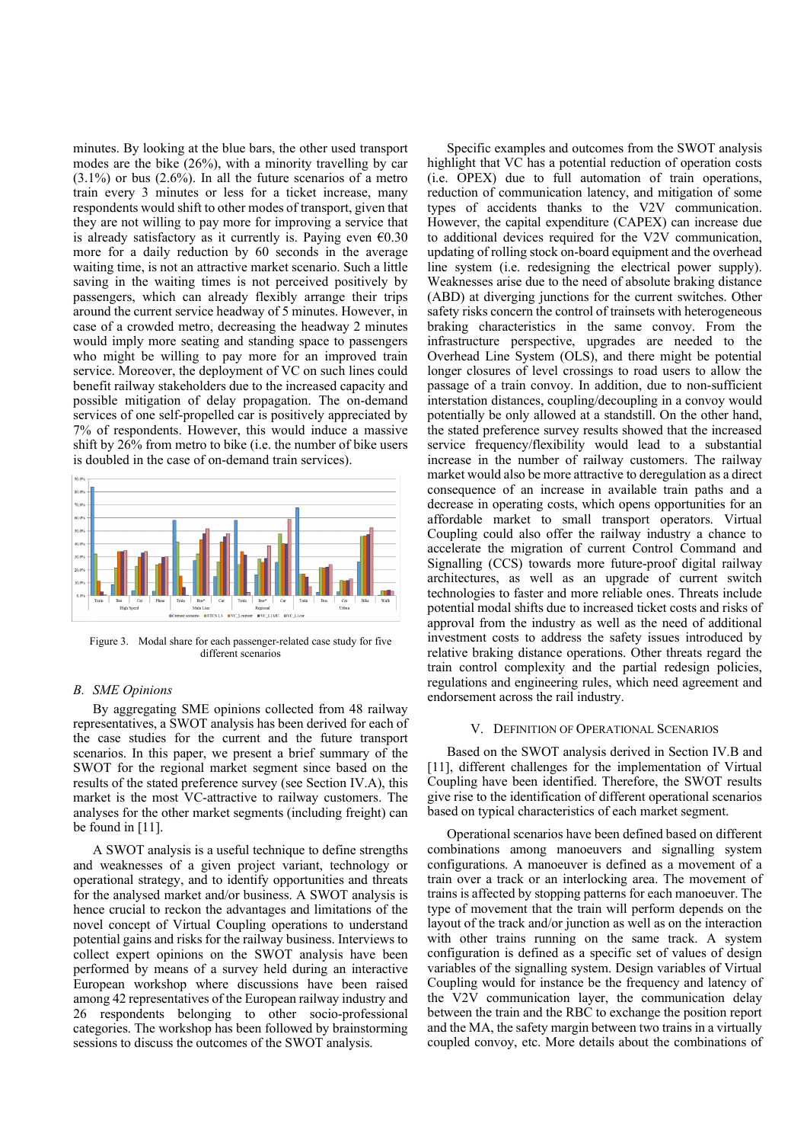minutes. By looking at the blue bars, the other used transport modes are the bike (26%), with a minority travelling by car (3.1%) or bus (2.6%). In all the future scenarios of a metro train every 3 minutes or less for a ticket increase, many respondents would shift to other modes of transport, given that they are not willing to pay more for improving a service that is already satisfactory as it currently is. Paying even  $\epsilon$ 0.30 more for a daily reduction by 60 seconds in the average waiting time, is not an attractive market scenario. Such a little saving in the waiting times is not perceived positively by passengers, which can already flexibly arrange their trips around the current service headway of 5 minutes. However, in case of a crowded metro, decreasing the headway 2 minutes would imply more seating and standing space to passengers who might be willing to pay more for an improved train service. Moreover, the deployment of VC on such lines could benefit railway stakeholders due to the increased capacity and possible mitigation of delay propagation. The on-demand services of one self-propelled car is positively appreciated by 7% of respondents. However, this would induce a massive shift by 26% from metro to bike (i.e. the number of bike users is doubled in the case of on-demand train services).



Figure 3. Modal share for each passenger-related case study for five different scenarios

# *B. SME Opinions*

By aggregating SME opinions collected from 48 railway representatives, a SWOT analysis has been derived for each of the case studies for the current and the future transport scenarios. In this paper, we present a brief summary of the SWOT for the regional market segment since based on the results of the stated preference survey (see Section [IV.A](#page-3-1)), this market is the most VC-attractive to railway customers. The analyses for the other market segments (including freight) can be found i[n \[11\].](#page-6-12)

A SWOT analysis is a useful technique to define strengths and weaknesses of a given project variant, technology or operational strategy, and to identify opportunities and threats for the analysed market and/or business. A SWOT analysis is hence crucial to reckon the advantages and limitations of the novel concept of Virtual Coupling operations to understand potential gains and risks for the railway business. Interviews to collect expert opinions on the SWOT analysis have been performed by means of a survey held during an interactive European workshop where discussions have been raised among 42 representatives of the European railway industry and 26 respondents belonging to other socio-professional categories. The workshop has been followed by brainstorming sessions to discuss the outcomes of the SWOT analysis.

Specific examples and outcomes from the SWOT analysis highlight that VC has a potential reduction of operation costs (i.e. OPEX) due to full automation of train operations, reduction of communication latency, and mitigation of some types of accidents thanks to the V2V communication. However, the capital expenditure (CAPEX) can increase due to additional devices required for the V2V communication, updating of rolling stock on-board equipment and the overhead line system (i.e. redesigning the electrical power supply). Weaknesses arise due to the need of absolute braking distance (ABD) at diverging junctions for the current switches. Other safety risks concern the control of trainsets with heterogeneous braking characteristics in the same convoy. From the infrastructure perspective, upgrades are needed to the Overhead Line System (OLS), and there might be potential longer closures of level crossings to road users to allow the passage of a train convoy. In addition, due to non-sufficient interstation distances, coupling/decoupling in a convoy would potentially be only allowed at a standstill. On the other hand, the stated preference survey results showed that the increased service frequency/flexibility would lead to a substantial increase in the number of railway customers. The railway market would also be more attractive to deregulation as a direct consequence of an increase in available train paths and a decrease in operating costs, which opens opportunities for an affordable market to small transport operators. Virtual Coupling could also offer the railway industry a chance to accelerate the migration of current Control Command and Signalling (CCS) towards more future-proof digital railway architectures, as well as an upgrade of current switch technologies to faster and more reliable ones. Threats include potential modal shifts due to increased ticket costs and risks of approval from the industry as well as the need of additional investment costs to address the safety issues introduced by relative braking distance operations. Other threats regard the train control complexity and the partial redesign policies, regulations and engineering rules, which need agreement and endorsement across the rail industry.

# V. DEFINITION OF OPERATIONAL SCENARIOS

<span id="page-4-1"></span><span id="page-4-0"></span>Based on the SWOT analysis derived in Section [IV.](#page-3-1)B and [\[11\],](#page-6-12) different challenges for the implementation of Virtual Coupling have been identified. Therefore, the SWOT results give rise to the identification of different operational scenarios based on typical characteristics of each market segment.

Operational scenarios have been defined based on different combinations among manoeuvers and signalling system configurations. A manoeuver is defined as a movement of a train over a track or an interlocking area. The movement of trains is affected by stopping patterns for each manoeuver. The type of movement that the train will perform depends on the layout of the track and/or junction as well as on the interaction with other trains running on the same track. A system configuration is defined as a specific set of values of design variables of the signalling system. Design variables of Virtual Coupling would for instance be the frequency and latency of the V2V communication layer, the communication delay between the train and the RBC to exchange the position report and the MA, the safety margin between two trains in a virtually coupled convoy, etc. More details about the combinations of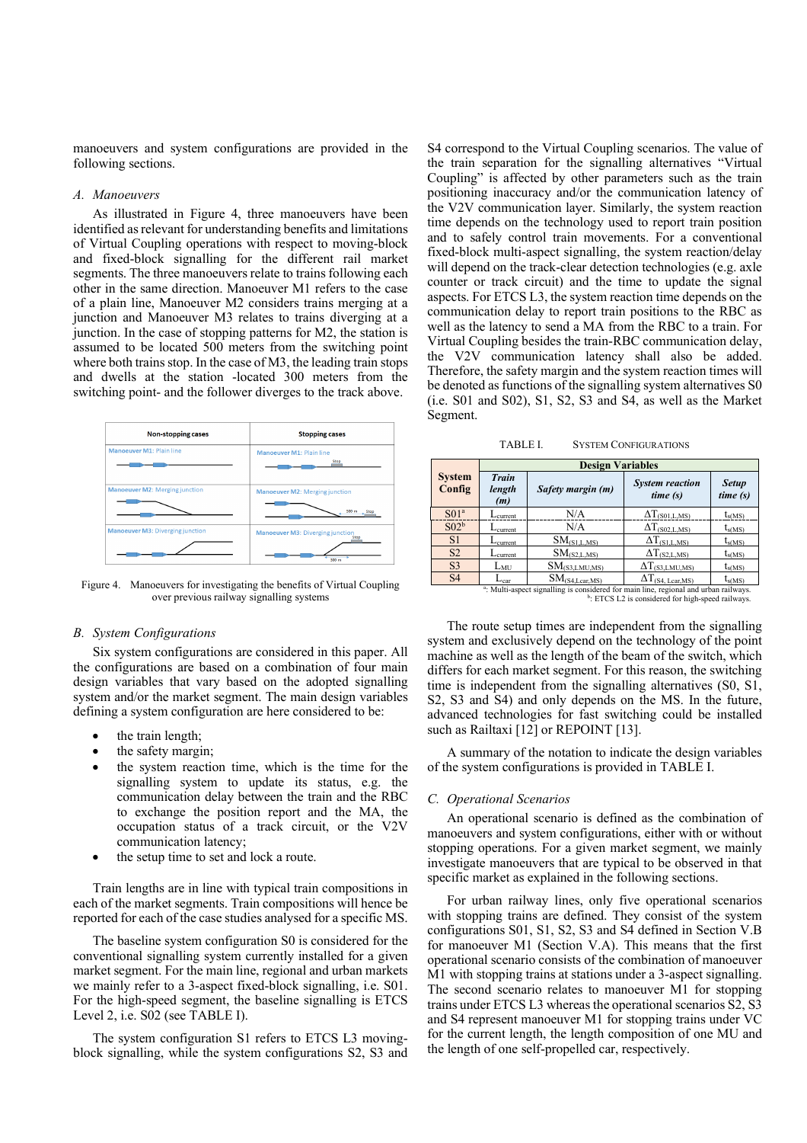manoeuvers and system configurations are provided in the following sections.

### *A. Manoeuvers*

As illustrated in [Figure 4,](#page-5-0) three manoeuvers have been identified as relevant for understanding benefits and limitations of Virtual Coupling operations with respect to moving-block and fixed-block signalling for the different rail market segments. The three manoeuvers relate to trains following each other in the same direction. Manoeuver M1 refers to the case of a plain line, Manoeuver M2 considers trains merging at a junction and Manoeuver M3 relates to trains diverging at a junction. In the case of stopping patterns for M2, the station is assumed to be located 500 meters from the switching point where both trains stop. In the case of M3, the leading train stops and dwells at the station -located 300 meters from the switching point- and the follower diverges to the track above.



<span id="page-5-0"></span>Figure 4. Manoeuvers for investigating the benefits of Virtual Coupling over previous railway signalling systems

### *B. System Configurations*

Six system configurations are considered in this paper. All the configurations are based on a combination of four main design variables that vary based on the adopted signalling system and/or the market segment. The main design variables defining a system configuration are here considered to be:

- the train length;
- the safety margin;
- the system reaction time, which is the time for the signalling system to update its status, e.g. the communication delay between the train and the RBC to exchange the position report and the MA, the occupation status of a track circuit, or the V2V communication latency;
- the setup time to set and lock a route.

Train lengths are in line with typical train compositions in each of the market segments. Train compositions will hence be reported for each of the case studies analysed for a specific MS.

The baseline system configuration S0 is considered for the conventional signalling system currently installed for a given market segment. For the main line, regional and urban markets we mainly refer to a 3-aspect fixed-block signalling, i.e. S01. For the high-speed segment, the baseline signalling is ETCS Level 2, i.e. S02 (se[e TABLE I\)](#page-5-1).

The system configuration S1 refers to ETCS L3 movingblock signalling, while the system configurations S2, S3 and S4 correspond to the Virtual Coupling scenarios. The value of the train separation for the signalling alternatives "Virtual Coupling" is affected by other parameters such as the train positioning inaccuracy and/or the communication latency of the V2V communication layer. Similarly, the system reaction time depends on the technology used to report train position and to safely control train movements. For a conventional fixed-block multi-aspect signalling, the system reaction/delay will depend on the track-clear detection technologies (e.g. axle counter or track circuit) and the time to update the signal aspects. For ETCS L3, the system reaction time depends on the communication delay to report train positions to the RBC as well as the latency to send a MA from the RBC to a train. For Virtual Coupling besides the train-RBC communication delay, the V2V communication latency shall also be added. Therefore, the safety margin and the system reaction times will be denoted as functions of the signalling system alternatives S0 (i.e. S01 and S02), S1, S2, S3 and S4, as well as the Market Segment.

TABLE I. SYSTEM CONFIGURATIONS

<span id="page-5-1"></span>

|                                                                                                                                                                   | <b>Design Variables</b>        |                     |                                         |                         |
|-------------------------------------------------------------------------------------------------------------------------------------------------------------------|--------------------------------|---------------------|-----------------------------------------|-------------------------|
| <b>System</b><br>Config                                                                                                                                           | <b>Train</b><br>length<br>(m)  | Safety margin (m)   | <b>System reaction</b><br>time(s)       | <b>Setup</b><br>time(s) |
| S01 <sup>a</sup>                                                                                                                                                  | $L_{\text{current}}$           | N/A                 | $\Delta T_{(S01,L,MS)}$                 | $t_{s(MS)}$             |
| S02 <sup>b</sup>                                                                                                                                                  | $\mathcal{L}_{\text{current}}$ | N/A                 | $\Delta T_{(S02,L,MS)}$                 | $t_{s(MS)}$             |
| S <sub>1</sub>                                                                                                                                                    | $L_{\text{current}}$           | $SM_{(S1,L,MS)}$    | $\Delta T_{(S1,L,MS)}$                  | $t_{s(MS)}$             |
| S <sub>2</sub>                                                                                                                                                    | $L_{current}$                  | $SM_{(S2,L,MS)}$    | $\Delta T_{(S2,L,MS)}$                  | $t_{s(MS)}$             |
| S <sub>3</sub>                                                                                                                                                    | $L_{MU}$                       | $SM_{(S3,LMU,MS)}$  | $\Delta T_{(S3,LMU, MS)}$               | $t_{s(MS)}$             |
| S <sub>4</sub>                                                                                                                                                    | $L_{\text{car}}$               | $SM_{(S4,Lcar,MS)}$ | $\Delta T_{(S4, \underline{Lcar, MS})}$ | $t_{s(MS)}$             |
| <sup>a</sup> : Multi-aspect signalling is considered for main line, regional and urban railways.<br><sup>b</sup> : ETCS L2 is considered for high-speed railways. |                                |                     |                                         |                         |

The route setup times are independent from the signalling system and exclusively depend on the technology of the point machine as well as the length of the beam of the switch, which differs for each market segment. For this reason, the switching time is independent from the signalling alternatives (S0, S1, S2, S3 and S4) and only depends on the MS. In the future, advanced technologies for fast switching could be installed such as Railtaxi [\[12\]](#page-6-13) or REPOINT [\[13\].](#page-6-14)

A summary of the notation to indicate the design variables of the system configurations is provided i[n TABLE I.](#page-5-1)

#### *C. Operational Scenarios*

An operational scenario is defined as the combination of manoeuvers and system configurations, either with or without stopping operations. For a given market segment, we mainly investigate manoeuvers that are typical to be observed in that specific market as explained in the following sections.

For urban railway lines, only five operational scenarios with stopping trains are defined. They consist of the system configurations S01, S1, S2, S3 and S4 defined in Section [V.](#page-4-0)B for manoeuver M1 (Section [V.](#page-4-0)A). This means that the first operational scenario consists of the combination of manoeuver M1 with stopping trains at stations under a 3-aspect signalling. The second scenario relates to manoeuver M1 for stopping trains under ETCS L3 whereas the operational scenarios S2, S3 and S4 represent manoeuver M1 for stopping trains under VC for the current length, the length composition of one MU and the length of one self-propelled car, respectively.